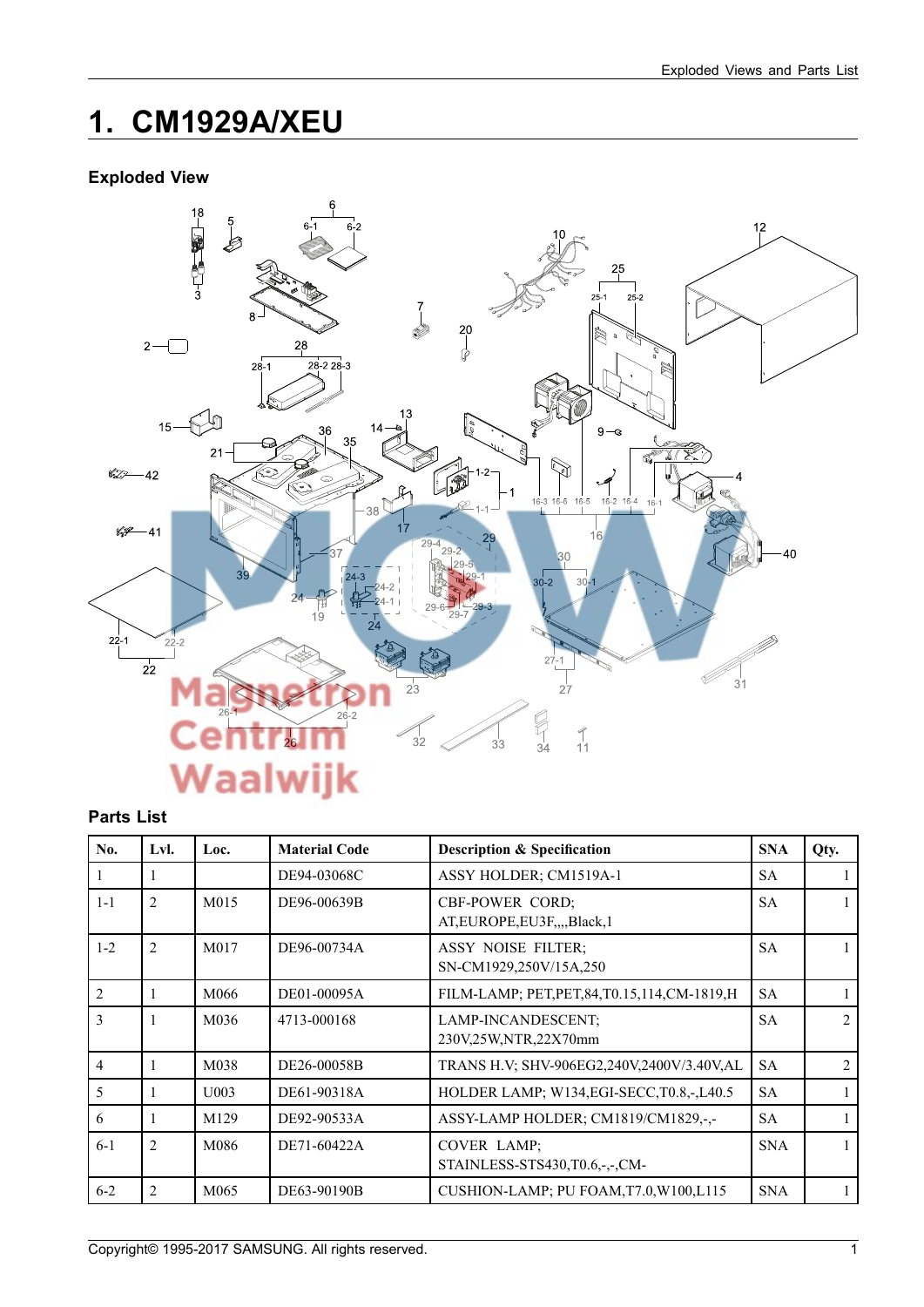## **1. CM1929A/XEU**

### **Exploded View**



#### **Parts List**

| No.            | Lvl.           | Loc.             | <b>Material Code</b> | <b>Description &amp; Specification</b>                  | <b>SNA</b> | Qty.                        |
|----------------|----------------|------------------|----------------------|---------------------------------------------------------|------------|-----------------------------|
|                |                |                  | DE94-03068C          | ASSY HOLDER; CM1519A-1                                  | <b>SA</b>  |                             |
| $1-1$          | $\overline{2}$ | M015             | DE96-00639B          | <b>CBF-POWER CORD;</b><br>AT, EUROPE, EU3F, Black, 1    | <b>SA</b>  |                             |
| $1 - 2$        | $\overline{2}$ | M017             | DE96-00734A          | <b>ASSY NOISE FILTER:</b><br>SN-CM1929,250V/15A,250     | <b>SA</b>  |                             |
| $\overline{2}$ |                | M066             | DE01-00095A          | FILM-LAMP; PET, PET, 84, T0.15, 114, CM-1819, H         | <b>SA</b>  |                             |
| $\mathcal{E}$  |                | M036             | 4713-000168          | LAMP-INCANDESCENT;<br>230V,25W,NTR,22X70mm              | <b>SA</b>  | $\mathcal{D}_{\mathcal{L}}$ |
| $\overline{4}$ |                | M038             | DE26-00058B          | TRANS H.V; SHV-906EG2,240V,2400V/3.40V,AL               | <b>SA</b>  | $\mathfrak{D}$              |
| 5              |                | U003             | DE61-90318A          | HOLDER LAMP; W134, EGI-SECC, T0.8, -, L40.5             | <b>SA</b>  |                             |
| 6              | 1              | M129             | DE92-90533A          | ASSY-LAMP HOLDER; CM1819/CM1829,-,-                     | <b>SA</b>  |                             |
| $6-1$          | $\overline{2}$ | M086             | DE71-60422A          | <b>COVER LAMP:</b><br>STAINLESS-STS430, T0.6, -, -, CM- | <b>SNA</b> |                             |
| $6 - 2$        | $\overline{2}$ | M <sub>065</sub> | DE63-90190B          | CUSHION-LAMP; PU FOAM, T7.0, W100, L115                 | <b>SNA</b> |                             |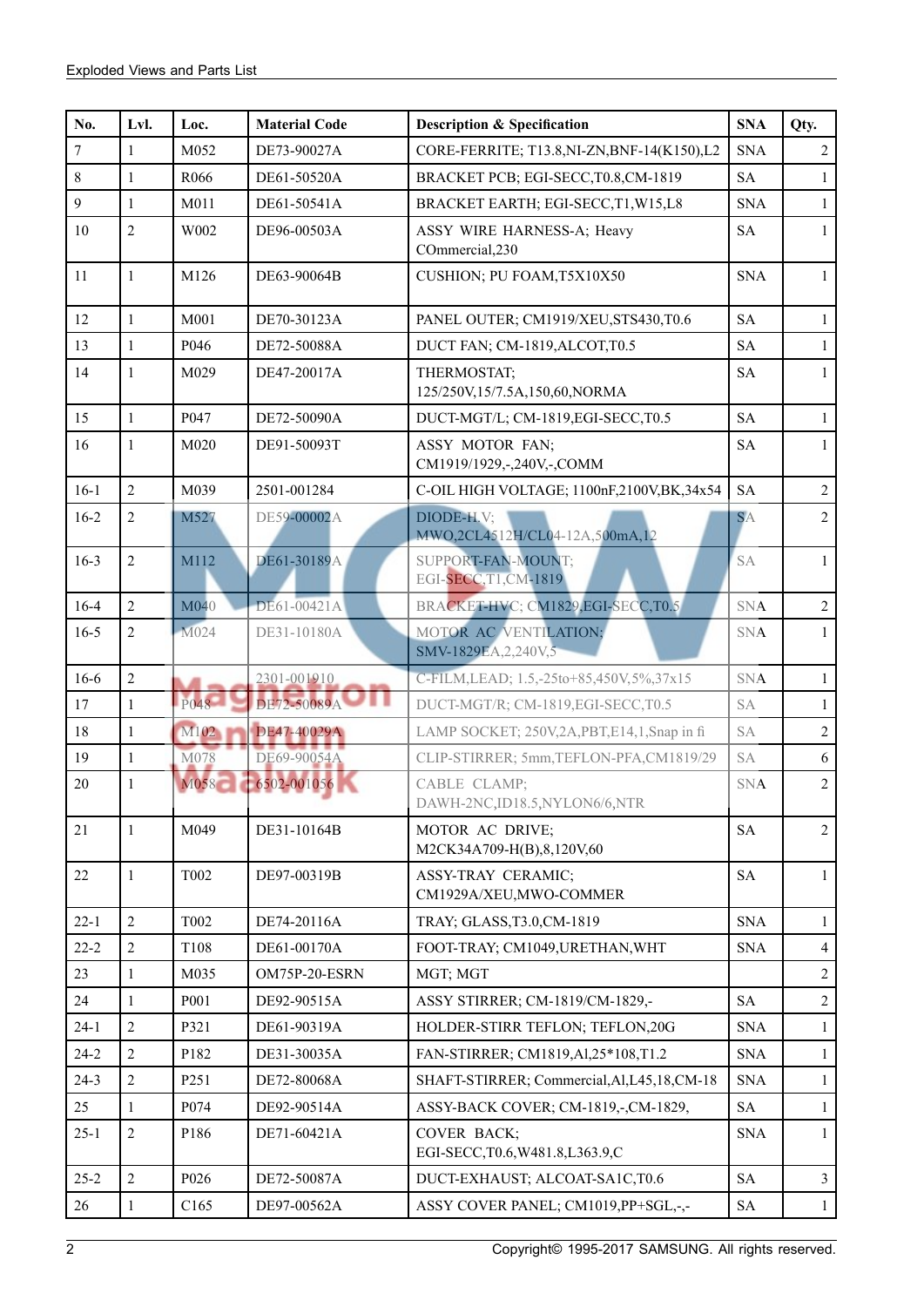| No.              | Lvl.           | Loc.             | <b>Material Code</b> | <b>Description &amp; Specification</b>             | <b>SNA</b> | Qty.           |
|------------------|----------------|------------------|----------------------|----------------------------------------------------|------------|----------------|
| $\boldsymbol{7}$ | 1              | M052             | DE73-90027A          | CORE-FERRITE; T13.8, NI-ZN, BNF-14(K150), L2       | <b>SNA</b> | $\overline{2}$ |
| $\,8\,$          | 1              | R066             | DE61-50520A          | BRACKET PCB; EGI-SECC, T0.8, CM-1819               | <b>SA</b>  | $\mathbf{1}$   |
| $\overline{9}$   | $\mathbf{1}$   | M011             | DE61-50541A          | BRACKET EARTH; EGI-SECC,T1,W15,L8                  | <b>SNA</b> | $\mathbf{1}$   |
| 10               | $\overline{2}$ | W002             | DE96-00503A          | ASSY WIRE HARNESS-A; Heavy<br>COmmercial, 230      | <b>SA</b>  | $\mathbf{1}$   |
| 11               | $\mathbf{1}$   | M126             | DE63-90064B          | CUSHION; PU FOAM, T5X10X50                         | <b>SNA</b> | $\mathbf{1}$   |
| 12               | $\mathbf{1}$   | M001             | DE70-30123A          | PANEL OUTER; CM1919/XEU, STS430, T0.6              | <b>SA</b>  | $\mathbf{1}$   |
| 13               | $\mathbf{1}$   | P046             | DE72-50088A          | DUCT FAN; CM-1819, ALCOT, T0.5                     | <b>SA</b>  | $\mathbf{1}$   |
| 14               | $\mathbf{1}$   | M029             | DE47-20017A          | THERMOSTAT;<br>125/250V,15/7.5A,150,60,NORMA       | <b>SA</b>  | $\mathbf{1}$   |
| 15               | $\mathbf{1}$   | P047             | DE72-50090A          | DUCT-MGT/L; CM-1819, EGI-SECC, T0.5                | <b>SA</b>  | $\mathbf{1}$   |
| 16               | $\mathbf{1}$   | M020             | DE91-50093T          | ASSY MOTOR FAN;<br>CM1919/1929,-,240V,-,COMM       | <b>SA</b>  | $\mathbf{1}$   |
| $16-1$           | $\overline{2}$ | M039             | 2501-001284          | C-OIL HIGH VOLTAGE; 1100nF,2100V,BK,34x54          | <b>SA</b>  | $\overline{2}$ |
| $16-2$           | $\overline{2}$ | M527             | DE59-00002A          | DIODE-H.V;<br>MWO,2CL4512H/CL04-12A,500mA,12       | <b>SA</b>  | $\overline{2}$ |
| $16-3$           | $\overline{2}$ | M112             | DE61-30189A          | <b>SUPPORT-FAN-MOUNT;</b><br>EGI-SECC, T1, CM-1819 | <b>SA</b>  | $\mathbf{1}$   |
| $16 - 4$         | $\overline{2}$ | M040             | DE61-00421A          | BRACKET-HVC; CM1829,EGI-SECC,T0.5                  | <b>SNA</b> | $\overline{2}$ |
| $16 - 5$         | $\overline{2}$ | M024             | DE31-10180A          | MOTOR AC VENTILATION;<br>SMV-1829EA, 2, 240V, 5    | <b>SNA</b> | $\mathbf{1}$   |
| 16-6             | $\sqrt{2}$     |                  | 2301-001910          | C-FILM, LEAD; 1.5, -25to+85, 450V, 5%, 37x15       | <b>SNA</b> | $\mathbf{1}$   |
| 17               | $\mathbf{1}$   | P048             | DE72-50089A          | DUCT-MGT/R; CM-1819, EGI-SECC, T0.5                | <b>SA</b>  | $\mathbf{1}$   |
| $18\,$           | $\mathbf{1}$   | M102             | DE47-40029A          | LAMP SOCKET; 250V,2A,PBT,E14,1,Snap in fi          | <b>SA</b>  | $\overline{2}$ |
| 19               | $\mathbf{1}$   | M078             | DE69-90054A          | CLIP-STIRRER; 5mm, TEFLON-PFA, CM1819/29           | SA         | 6              |
| $20\,$           | $\mathbf{1}$   | M058             | 6502-001056          | CABLE CLAMP;<br>DAWH-2NC,ID18.5,NYLON6/6,NTR       | <b>SNA</b> | $\overline{2}$ |
| 21               | $\mathbf{1}$   | M049             | DE31-10164B          | MOTOR AC DRIVE;<br>M2CK34A709-H(B),8,120V,60       | <b>SA</b>  | $\overline{2}$ |
| $22\,$           | $\mathbf{1}$   | <b>T002</b>      | DE97-00319B          | ASSY-TRAY CERAMIC;<br>CM1929A/XEU,MWO-COMMER       | <b>SA</b>  | $\mathbf{1}$   |
| $22 - 1$         | $\overline{2}$ | <b>T002</b>      | DE74-20116A          | TRAY; GLASS, T3.0, CM-1819                         | <b>SNA</b> | $\mathbf{1}$   |
| $22 - 2$         | $\overline{2}$ | T108             | DE61-00170A          | FOOT-TRAY; CM1049, URETHAN, WHT                    | <b>SNA</b> | $\overline{4}$ |
| 23               | $\mathbf{1}$   | M035             | OM75P-20-ESRN        | MGT; MGT                                           |            | $\overline{2}$ |
| 24               | $\mathbf{1}$   | P001             | DE92-90515A          | ASSY STIRRER; CM-1819/CM-1829,-                    | <b>SA</b>  | $\sqrt{2}$     |
| $24 - 1$         | $\overline{2}$ | P321             | DE61-90319A          | HOLDER-STIRR TEFLON; TEFLON, 20G                   | <b>SNA</b> | $\mathbf{1}$   |
| $24 - 2$         | $\overline{2}$ | P182             | DE31-30035A          | FAN-STIRRER; CM1819, Al, 25*108, T1.2              | <b>SNA</b> | $\mathbf{1}$   |
| $24 - 3$         | $\overline{2}$ | P251             | DE72-80068A          | SHAFT-STIRRER; Commercial, Al, L45, 18, CM-18      | <b>SNA</b> | $\mathbf{1}$   |
| 25               | $\mathbf{1}$   | P074             | DE92-90514A          | ASSY-BACK COVER; CM-1819,-,CM-1829,                | <b>SA</b>  | $\mathbf{1}$   |
| $25 - 1$         | $\overline{2}$ | P186             | DE71-60421A          | COVER BACK;<br>EGI-SECC, T0.6, W481.8, L363.9, C   | <b>SNA</b> | $\mathbf{1}$   |
| $25 - 2$         | $\overline{2}$ | P026             | DE72-50087A          | DUCT-EXHAUST; ALCOAT-SA1C,T0.6                     | <b>SA</b>  | $\overline{3}$ |
| 26               | $\mathbf{1}$   | C <sub>165</sub> | DE97-00562A          | ASSY COVER PANEL; CM1019, PP+SGL,-,-               | <b>SA</b>  | $\mathbf{1}$   |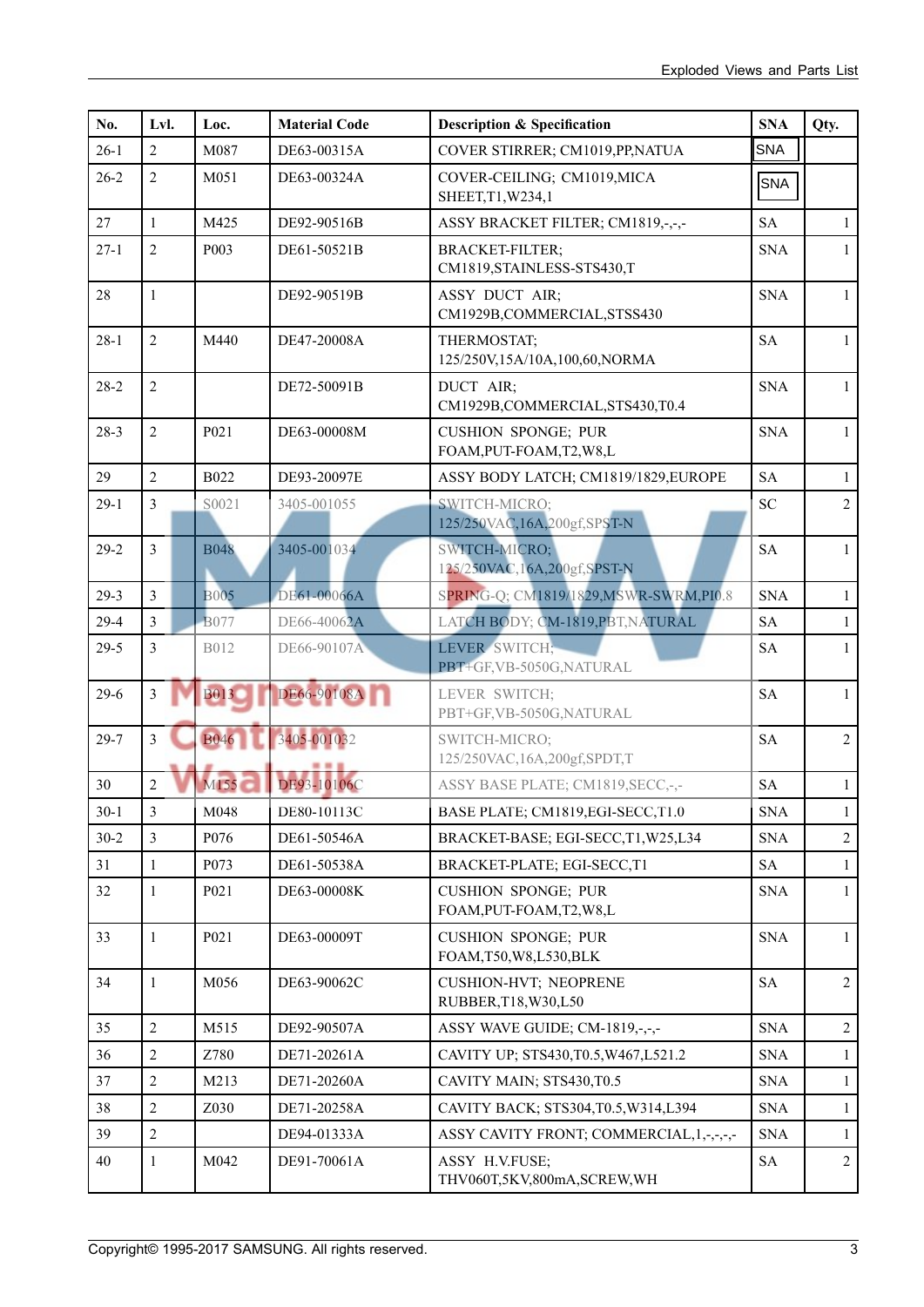| No.      | Lvl.           | Loc.             | <b>Material Code</b> | <b>Description &amp; Specification</b>                  | <b>SNA</b>          | Qty.           |
|----------|----------------|------------------|----------------------|---------------------------------------------------------|---------------------|----------------|
| $26-1$   | $\overline{2}$ | M087             | DE63-00315A          | COVER STIRRER; CM1019, PP, NATUA                        | <b>SNA</b>          |                |
| $26 - 2$ | $\overline{2}$ | M051             | DE63-00324A          | COVER-CEILING; CM1019, MICA<br>SHEET, T1, W234, 1       | SNA                 |                |
| 27       | $\mathbf{1}$   | M425             | DE92-90516B          | ASSY BRACKET FILTER; CM1819,-,-,-                       | <b>SA</b>           | $\mathbf{1}$   |
| $27-1$   | $\overline{2}$ | P003             | DE61-50521B          | <b>BRACKET-FILTER;</b><br>CM1819, STAINLESS-STS430, T   | <b>SNA</b>          | $\mathbf{1}$   |
| 28       | $\mathbf{1}$   |                  | DE92-90519B          | ASSY DUCT AIR;<br>CM1929B,COMMERCIAL,STSS430            | <b>SNA</b>          | $\mathbf{1}$   |
| $28-1$   | $\overline{2}$ | M440             | DE47-20008A          | THERMOSTAT;<br>125/250V,15A/10A,100,60,NORMA            | <b>SA</b>           | $\mathbf{1}$   |
| $28-2$   | $\overline{2}$ |                  | DE72-50091B          | DUCT AIR;<br>CM1929B,COMMERCIAL,STS430,T0.4             | <b>SNA</b>          | $\mathbf{1}$   |
| $28-3$   | $\overline{2}$ | P021             | DE63-00008M          | <b>CUSHION SPONGE; PUR</b><br>FOAM, PUT-FOAM, T2, W8, L | <b>SNA</b>          | $\mathbf{1}$   |
| 29       | $\overline{2}$ | <b>B022</b>      | DE93-20097E          | ASSY BODY LATCH; CM1819/1829, EUROPE                    | <b>SA</b>           | $\mathbf{1}$   |
| $29-1$   | $\overline{3}$ | S0021            | 3405-001055          | SWITCH-MICRO;<br>125/250VAC, 16A, 200gf, SPST-N         | <b>SC</b>           | $\overline{2}$ |
| $29-2$   | $\overline{3}$ | <b>B048</b>      | 3405-001034          | SWITCH-MICRO;<br>125/250VAC, 16A, 200gf, SPST-N         | <b>SA</b>           | 1              |
| $29 - 3$ | $\overline{3}$ | <b>B005</b>      | DE61-00066A          | SPRING-Q; CM1819/1829, MSWR-SWRM, PI0.8                 | <b>SNA</b>          | 1              |
| $29-4$   | $\overline{3}$ | <b>B</b> 077     | DE66-40062A          | LATCH BODY; CM-1819, PBT, NATURAL                       | <b>SA</b>           | $\mathbf{1}$   |
| $29-5$   | $\overline{3}$ | <b>B012</b>      | DE66-90107A          | LEVER SWITCH;<br>PBT+GF,VB-5050G,NATURAL                | <b>SA</b>           | $\mathbf{1}$   |
| $29-6$   | $\overline{3}$ | <b>B013</b>      | DE66-90108A          | LEVER SWITCH;<br>PBT+GF,VB-5050G,NATURAL                | <b>SA</b>           | $\mathbf{1}$   |
| $29 - 7$ | $\overline{3}$ | <b>B046</b>      | 3405-001032          | SWITCH-MICRO;<br>125/250VAC, 16A, 200gf, SPDT, T        | <b>SA</b>           | $\overline{2}$ |
| 30       | $\overline{2}$ | M155             | DE93-10106C          | ASSY BASE PLATE; CM1819, SECC, -,-                      | <b>SA</b>           | $\mathbf{1}$   |
| $30-1$   | $\overline{3}$ | M048             | DE80-10113C          | BASE PLATE; CM1819, EGI-SECC, T1.0                      | <b>SNA</b>          | $\mathbf{1}$   |
| $30 - 2$ | 3              | P076             | DE61-50546A          | BRACKET-BASE; EGI-SECC,T1,W25,L34                       | <b>SNA</b>          | $\overline{2}$ |
| 31       | $\mathbf{1}$   | P <sub>073</sub> | DE61-50538A          | BRACKET-PLATE; EGI-SECC,T1                              | $\operatorname{SA}$ | 1              |
| 32       | $\mathbf{1}$   | P021             | DE63-00008K          | <b>CUSHION SPONGE; PUR</b><br>FOAM, PUT-FOAM, T2, W8, L | <b>SNA</b>          | $\mathbf{1}$   |
| 33       | $\mathbf{1}$   | P021             | DE63-00009T          | <b>CUSHION SPONGE; PUR</b><br>FOAM, T50, W8, L530, BLK  | <b>SNA</b>          | $\mathbf{1}$   |
| 34       | $\mathbf{1}$   | M056             | DE63-90062C          | CUSHION-HVT; NEOPRENE<br>RUBBER, T18, W30, L50          | <b>SA</b>           | $\overline{2}$ |
| 35       | $\overline{2}$ | M515             | DE92-90507A          | ASSY WAVE GUIDE; CM-1819,-,-,-                          | <b>SNA</b>          | $\overline{2}$ |
| 36       | $\overline{2}$ | Z780             | DE71-20261A          | CAVITY UP; STS430, T0.5, W467, L521.2                   | <b>SNA</b>          | $\mathbf{1}$   |
| 37       | $\overline{2}$ | M213             | DE71-20260A          | CAVITY MAIN; STS430,T0.5                                | <b>SNA</b>          | 1              |
| 38       | $\overline{2}$ | Z030             | DE71-20258A          | CAVITY BACK; STS304, T0.5, W314, L394                   | <b>SNA</b>          | $\mathbf{1}$   |
| 39       | $\overline{2}$ |                  | DE94-01333A          | ASSY CAVITY FRONT; COMMERCIAL, 1,-,-,-,-                | <b>SNA</b>          | 1              |
| 40       | $\mathbf{1}$   | M042             | DE91-70061A          | ASSY H.V.FUSE;<br>THV060T,5KV,800mA,SCREW,WH            | <b>SA</b>           | $\overline{2}$ |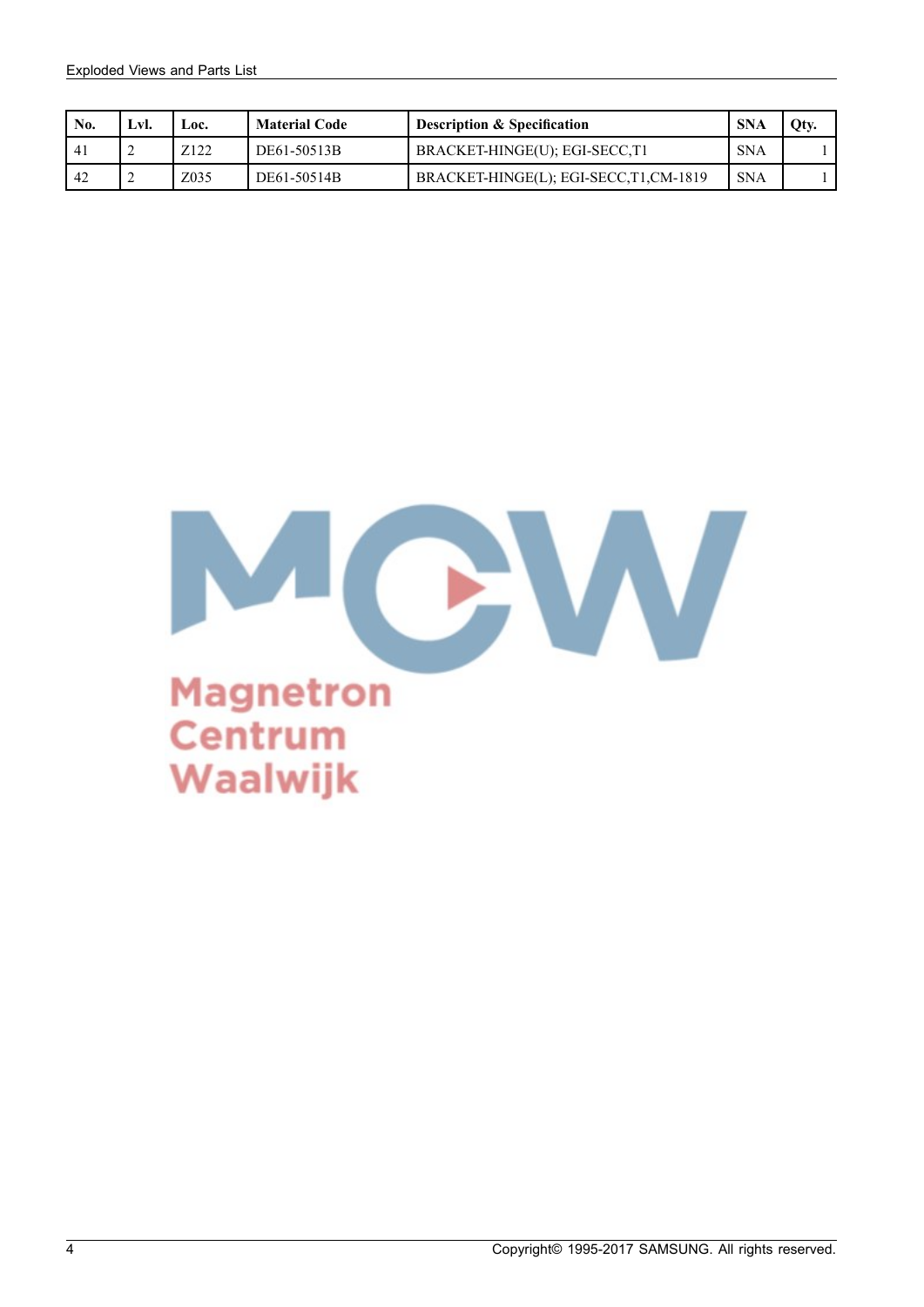| No. | Lvl. | LOC.             | <b>Material Code</b> | <b>Description &amp; Specification</b> | <b>SNA</b> | Oty. |
|-----|------|------------------|----------------------|----------------------------------------|------------|------|
| -41 | ∸    | Z <sub>122</sub> | DE61-50513B          | BRACKET-HINGE(U); EGI-SECC,T1          | <b>SNA</b> |      |
| 42  | ∠    | Z035             | DE61-50514B          | BRACKET-HINGE(L); EGI-SECC,T1,CM-1819  | <b>SNA</b> |      |

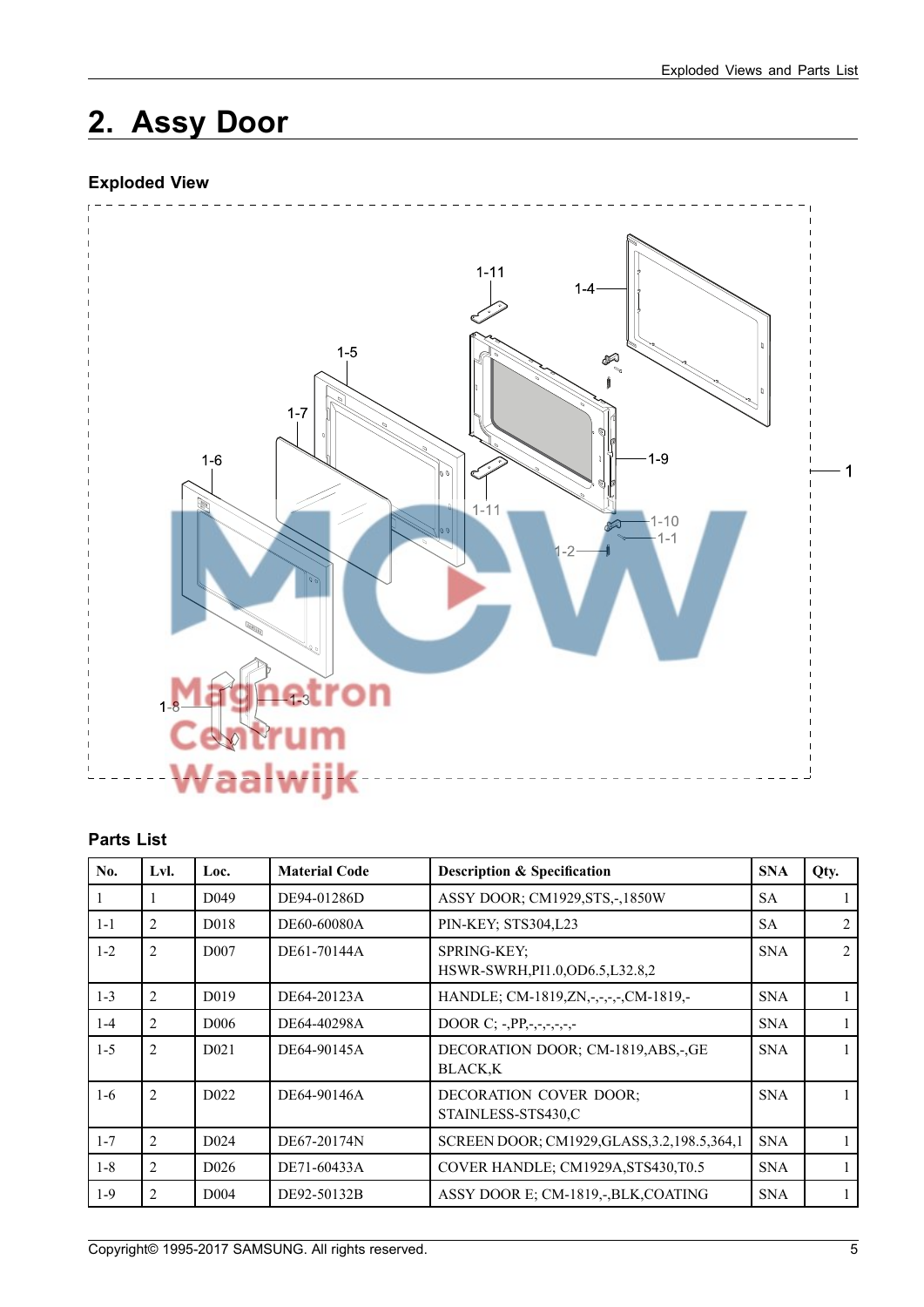## **2. Assy Door**

### **Exploded View**



### **Parts List**

| No.     | Lvl.           | Loc.              | <b>Material Code</b> | <b>Description &amp; Specification</b>                  | <b>SNA</b> | Qty.           |
|---------|----------------|-------------------|----------------------|---------------------------------------------------------|------------|----------------|
|         |                | D <sub>049</sub>  | DE94-01286D          | ASSY DOOR; CM1929, STS,-, 1850W                         | <b>SA</b>  |                |
| $1 - 1$ | $\overline{c}$ | D <sub>0</sub> 18 | DE60-60080A          | PIN-KEY; STS304,L23                                     | <b>SA</b>  | $\overline{c}$ |
| $1 - 2$ | $\overline{c}$ | D <sub>007</sub>  | DE61-70144A          | <b>SPRING-KEY:</b><br>HSWR-SWRH, PI1.0, OD6.5, L32.8, 2 | <b>SNA</b> | $\mathfrak{D}$ |
| $1 - 3$ | $\overline{2}$ | D <sub>0</sub> 19 | DE64-20123A          | HANDLE; CM-1819, ZN, -, -, -, -, CM-1819, -             | <b>SNA</b> |                |
| $1 - 4$ | $\overline{c}$ | D <sub>006</sub>  | DE64-40298A          | DOOR C; -, PP, -, -, -, -, -, -                         | <b>SNA</b> |                |
| $1 - 5$ | $\overline{c}$ | D <sub>021</sub>  | DE64-90145A          | DECORATION DOOR; CM-1819, ABS, -, GE<br><b>BLACK.K</b>  | <b>SNA</b> |                |
| $1-6$   | $\overline{2}$ | D <sub>0</sub> 22 | DE64-90146A          | <b>DECORATION COVER DOOR:</b><br>STAINLESS-STS430,C     | <b>SNA</b> |                |
| $1 - 7$ | $\overline{2}$ | D <sub>024</sub>  | DE67-20174N          | SCREEN DOOR; CM1929, GLASS, 3.2, 198.5, 364, 1          | <b>SNA</b> |                |
| $1 - 8$ | $\overline{c}$ | D <sub>026</sub>  | DE71-60433A          | COVER HANDLE; CM1929A, STS430, T0.5                     | <b>SNA</b> |                |
| $1-9$   | 2              | D <sub>004</sub>  | DE92-50132B          | ASSY DOOR E; CM-1819,-, BLK, COATING                    | <b>SNA</b> |                |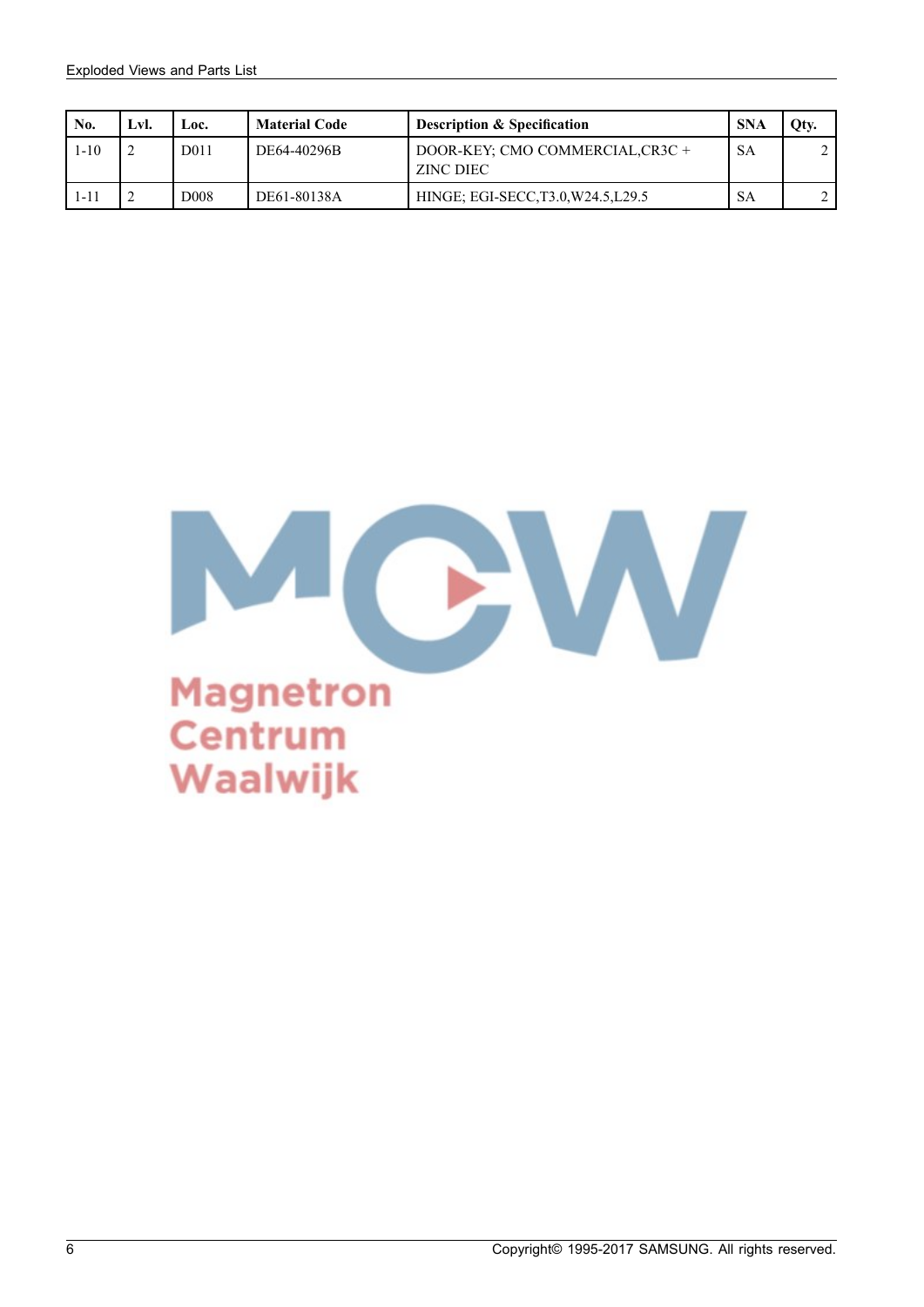| No.  | Lvl.           | Loc.              | <b>Material Code</b> | <b>Description &amp; Specification</b>       | <b>SNA</b> | Qty. |
|------|----------------|-------------------|----------------------|----------------------------------------------|------------|------|
| 1-10 | $\overline{2}$ | D <sub>0</sub> 11 | DE64-40296B          | DOOR-KEY: CMO COMMERCIAL.CR3C +<br>ZINC DIEC | <b>SA</b>  |      |
| 1-11 | $\sim$<br>∼    | D <sub>008</sub>  | DE61-80138A          | HINGE; EGI-SECC, T3.0, W24.5, L29.5          | <b>SA</b>  |      |

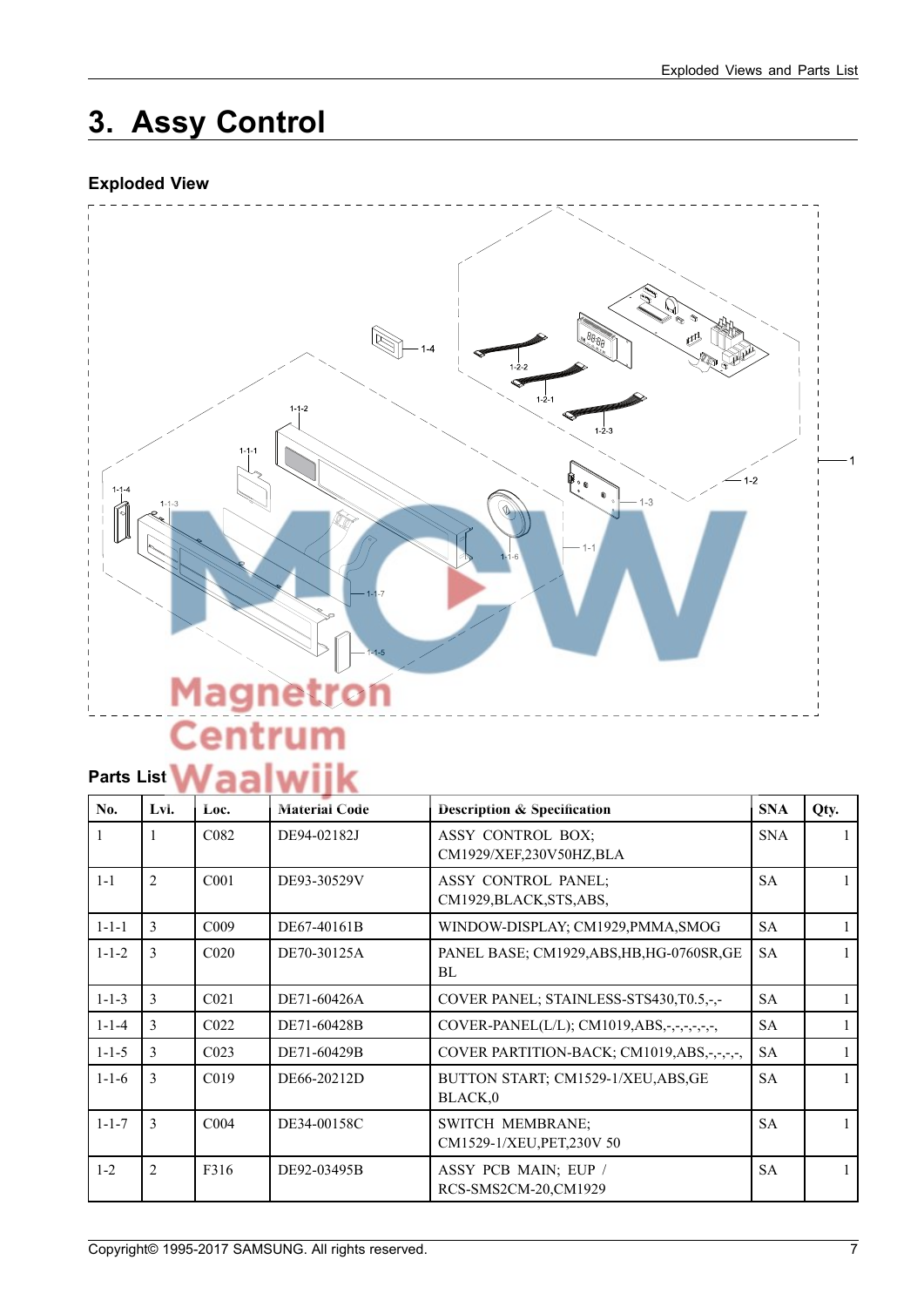## **3. Assy Control**

### **Exploded View**



# **Parts List Waalwijk**

| No.         | Lvl.           | Loc.              | <b>Material Code</b> | <b>Description &amp; Specification</b>                 | <b>SNA</b> | Qty. |
|-------------|----------------|-------------------|----------------------|--------------------------------------------------------|------------|------|
|             | 1              | C <sub>0</sub> 82 | DE94-02182J          | ASSY CONTROL BOX;<br>CM1929/XEF,230V50HZ,BLA           | <b>SNA</b> |      |
| $1 - 1$     | $\overline{2}$ | C <sub>001</sub>  | DE93-30529V          | <b>ASSY CONTROL PANEL;</b><br>CM1929, BLACK, STS, ABS, | <b>SA</b>  |      |
| $1 - 1 - 1$ | 3              | C <sub>009</sub>  | DE67-40161B          | WINDOW-DISPLAY; CM1929, PMMA, SMOG                     | <b>SA</b>  |      |
| $1 - 1 - 2$ | 3              | C <sub>020</sub>  | DE70-30125A          | PANEL BASE; CM1929, ABS, HB, HG-0760SR, GE<br>BL       | <b>SA</b>  |      |
| $1 - 1 - 3$ | 3              | C <sub>021</sub>  | DE71-60426A          | COVER PANEL; STAINLESS-STS430, T0.5,-,-                | <b>SA</b>  |      |
| $1 - 1 - 4$ | 3              | C <sub>022</sub>  | DE71-60428B          | COVER-PANEL(L/L); CM1019,ABS,-,-,-,-,-,-,              | <b>SA</b>  |      |
| $1 - 1 - 5$ | 3              | C <sub>023</sub>  | DE71-60429B          | COVER PARTITION-BACK; CM1019,ABS,-,-,-,                | <b>SA</b>  |      |
| $1 - 1 - 6$ | 3              | C <sub>019</sub>  | DE66-20212D          | BUTTON START; CM1529-1/XEU, ABS, GE<br>BLACK,0         | <b>SA</b>  |      |
| $1 - 1 - 7$ | 3              | C <sub>004</sub>  | DE34-00158C          | <b>SWITCH MEMBRANE:</b><br>CM1529-1/XEU, PET, 230V 50  | <b>SA</b>  |      |
| $1 - 2$     | $\overline{2}$ | F316              | DE92-03495B          | ASSY PCB MAIN; EUP /<br>RCS-SMS2CM-20,CM1929           | <b>SA</b>  |      |